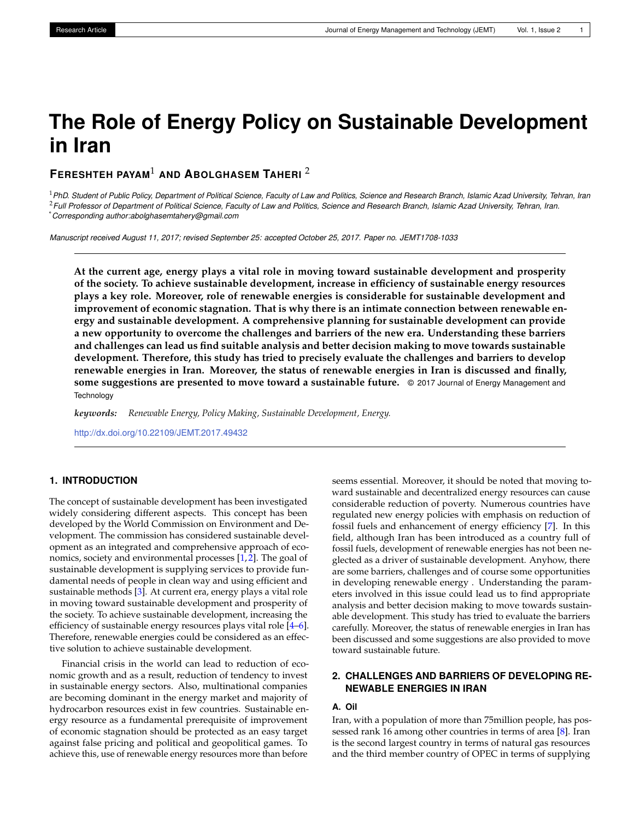# **The Role of Energy Policy on Sustainable Development in Iran**

# **FERESHTEH PAYAM**<sup>1</sup> **AND ABOLGHASEM TAHERI** <sup>2</sup>

<sup>1</sup>*PhD. Student of Public Policy, Department of Political Science, Faculty of Law and Politics, Science and Research Branch, Islamic Azad University, Tehran, Iran* <sup>2</sup>*Full Professor of Department of Political Science, Faculty of Law and Politics, Science and Research Branch, Islamic Azad University, Tehran, Iran.* \**Corresponding author:abolghasemtahery@gmail.com*

*Manuscript received August 11, 2017; revised September 25: accepted October 25, 2017. Paper no. JEMT1708-1033*

**At the current age, energy plays a vital role in moving toward sustainable development and prosperity of the society. To achieve sustainable development, increase in efficiency of sustainable energy resources plays a key role. Moreover, role of renewable energies is considerable for sustainable development and improvement of economic stagnation. That is why there is an intimate connection between renewable energy and sustainable development. A comprehensive planning for sustainable development can provide a new opportunity to overcome the challenges and barriers of the new era. Understanding these barriers and challenges can lead us find suitable analysis and better decision making to move towards sustainable development. Therefore, this study has tried to precisely evaluate the challenges and barriers to develop renewable energies in Iran. Moreover, the status of renewable energies in Iran is discussed and finally, some suggestions are presented to move toward a sustainable future.** © 2017 Journal of Energy Management and **Technology** 

*keywords: Renewable Energy, Policy Making, Sustainable Development, Energy.*

<http://dx.doi.org/10.22109/JEMT.2017.49432>

## **1. INTRODUCTION**

The concept of sustainable development has been investigated widely considering different aspects. This concept has been developed by the World Commission on Environment and Development. The commission has considered sustainable development as an integrated and comprehensive approach of eco-nomics, society and environmental processes [\[1,](#page-3-0)[2\]](#page-3-1). The goal of sustainable development is supplying services to provide fundamental needs of people in clean way and using efficient and sustainable methods [\[3\]](#page-3-2). At current era, energy plays a vital role in moving toward sustainable development and prosperity of the society. To achieve sustainable development, increasing the efficiency of sustainable energy resources plays vital role [\[4](#page-3-3)[–6\]](#page-3-4). Therefore, renewable energies could be considered as an effective solution to achieve sustainable development.

Financial crisis in the world can lead to reduction of economic growth and as a result, reduction of tendency to invest in sustainable energy sectors. Also, multinational companies are becoming dominant in the energy market and majority of hydrocarbon resources exist in few countries. Sustainable energy resource as a fundamental prerequisite of improvement of economic stagnation should be protected as an easy target against false pricing and political and geopolitical games. To achieve this, use of renewable energy resources more than before

seems essential. Moreover, it should be noted that moving toward sustainable and decentralized energy resources can cause considerable reduction of poverty. Numerous countries have regulated new energy policies with emphasis on reduction of fossil fuels and enhancement of energy efficiency [\[7\]](#page-3-5). In this field, although Iran has been introduced as a country full of fossil fuels, development of renewable energies has not been neglected as a driver of sustainable development. Anyhow, there are some barriers, challenges and of course some opportunities in developing renewable energy . Understanding the parameters involved in this issue could lead us to find appropriate analysis and better decision making to move towards sustainable development. This study has tried to evaluate the barriers carefully. Moreover, the status of renewable energies in Iran has been discussed and some suggestions are also provided to move toward sustainable future.

## **2. CHALLENGES AND BARRIERS OF DEVELOPING RE-NEWABLE ENERGIES IN IRAN**

## **A. Oil**

Iran, with a population of more than 75million people, has possessed rank 16 among other countries in terms of area [\[8\]](#page-3-6). Iran is the second largest country in terms of natural gas resources and the third member country of OPEC in terms of supplying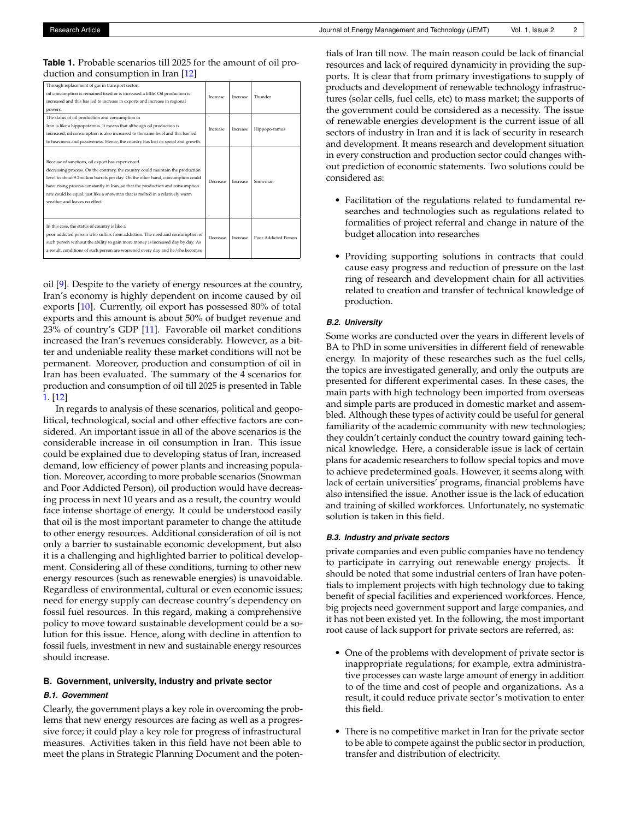#### <span id="page-1-0"></span>**Table 1.** Probable scenarios till 2025 for the amount of oil production and consumption in Iran [\[12\]](#page-3-7)

| Through replacement of gas in transport sector,<br>oil consumption is remained fixed or is increased a little. Oil production is<br>increased and this has led to increase in exports and increase in regional<br>powers.                                                                                                                                                                                                | Increase | Increase | Thunder              |
|--------------------------------------------------------------------------------------------------------------------------------------------------------------------------------------------------------------------------------------------------------------------------------------------------------------------------------------------------------------------------------------------------------------------------|----------|----------|----------------------|
| The status of oil production and consumption in<br>Iran is like a hippopotamus. It means that although oil production is<br>increased, oil consumption is also increased to the same level and this has led<br>to heaviness and passiveness. Hence, the country has lost its speed and growth.                                                                                                                           | Increase | Increase | Hippopo-tamus        |
| Because of sanctions, oil export has experienced<br>decreasing process. On the contrary, the country could maintain the production<br>level to about 9.2million barrels per day. On the other hand, consumption could<br>have rising process constantly in Iran, so that the production and consumption<br>rate could be equal; just like a snowman that is melted in a relatively warm<br>weather and leaves no effect. | Decrease | Increase | Snowman              |
| In this case, the status of country is like a<br>poor addicted person who suffers from addiction. The need and consumption of<br>such person without the ability to gain more money is increased day by day. As<br>a result, conditions of such person are worsened every day and he/she becomes                                                                                                                         | Decrease | Increase | Poor Addicted Person |

oil [\[9\]](#page-3-8). Despite to the variety of energy resources at the country, Iran's economy is highly dependent on income caused by oil exports [\[10\]](#page-3-9). Currently, oil export has possessed 80% of total exports and this amount is about 50% of budget revenue and 23% of country's GDP [\[11\]](#page-3-10). Favorable oil market conditions increased the Iran's revenues considerably. However, as a bitter and undeniable reality these market conditions will not be permanent. Moreover, production and consumption of oil in Iran has been evaluated. The summary of the 4 scenarios for production and consumption of oil till 2025 is presented in Table [1.](#page-1-0) [\[12\]](#page-3-7)

In regards to analysis of these scenarios, political and geopolitical, technological, social and other effective factors are considered. An important issue in all of the above scenarios is the considerable increase in oil consumption in Iran. This issue could be explained due to developing status of Iran, increased demand, low efficiency of power plants and increasing population. Moreover, according to more probable scenarios (Snowman and Poor Addicted Person), oil production would have decreasing process in next 10 years and as a result, the country would face intense shortage of energy. It could be understood easily that oil is the most important parameter to change the attitude to other energy resources. Additional consideration of oil is not only a barrier to sustainable economic development, but also it is a challenging and highlighted barrier to political development. Considering all of these conditions, turning to other new energy resources (such as renewable energies) is unavoidable. Regardless of environmental, cultural or even economic issues; need for energy supply can decrease country's dependency on fossil fuel resources. In this regard, making a comprehensive policy to move toward sustainable development could be a solution for this issue. Hence, along with decline in attention to fossil fuels, investment in new and sustainable energy resources should increase.

#### **B. Government, university, industry and private sector**

#### *B.1. Government*

Clearly, the government plays a key role in overcoming the problems that new energy resources are facing as well as a progressive force; it could play a key role for progress of infrastructural measures. Activities taken in this field have not been able to meet the plans in Strategic Planning Document and the potentials of Iran till now. The main reason could be lack of financial resources and lack of required dynamicity in providing the supports. It is clear that from primary investigations to supply of products and development of renewable technology infrastructures (solar cells, fuel cells, etc) to mass market; the supports of the government could be considered as a necessity. The issue of renewable energies development is the current issue of all sectors of industry in Iran and it is lack of security in research and development. It means research and development situation in every construction and production sector could changes without prediction of economic statements. Two solutions could be considered as:

- Facilitation of the regulations related to fundamental researches and technologies such as regulations related to formalities of project referral and change in nature of the budget allocation into researches
- Providing supporting solutions in contracts that could cause easy progress and reduction of pressure on the last ring of research and development chain for all activities related to creation and transfer of technical knowledge of production.

#### *B.2. University*

Some works are conducted over the years in different levels of BA to PhD in some universities in different field of renewable energy. In majority of these researches such as the fuel cells, the topics are investigated generally, and only the outputs are presented for different experimental cases. In these cases, the main parts with high technology been imported from overseas and simple parts are produced in domestic market and assembled. Although these types of activity could be useful for general familiarity of the academic community with new technologies; they couldn't certainly conduct the country toward gaining technical knowledge. Here, a considerable issue is lack of certain plans for academic researchers to follow special topics and move to achieve predetermined goals. However, it seems along with lack of certain universities' programs, financial problems have also intensified the issue. Another issue is the lack of education and training of skilled workforces. Unfortunately, no systematic solution is taken in this field.

#### *B.3. Industry and private sectors*

private companies and even public companies have no tendency to participate in carrying out renewable energy projects. It should be noted that some industrial centers of Iran have potentials to implement projects with high technology due to taking benefit of special facilities and experienced workforces. Hence, big projects need government support and large companies, and it has not been existed yet. In the following, the most important root cause of lack support for private sectors are referred, as:

- One of the problems with development of private sector is inappropriate regulations; for example, extra administrative processes can waste large amount of energy in addition to of the time and cost of people and organizations. As a result, it could reduce private sector's motivation to enter this field.
- There is no competitive market in Iran for the private sector to be able to compete against the public sector in production, transfer and distribution of electricity.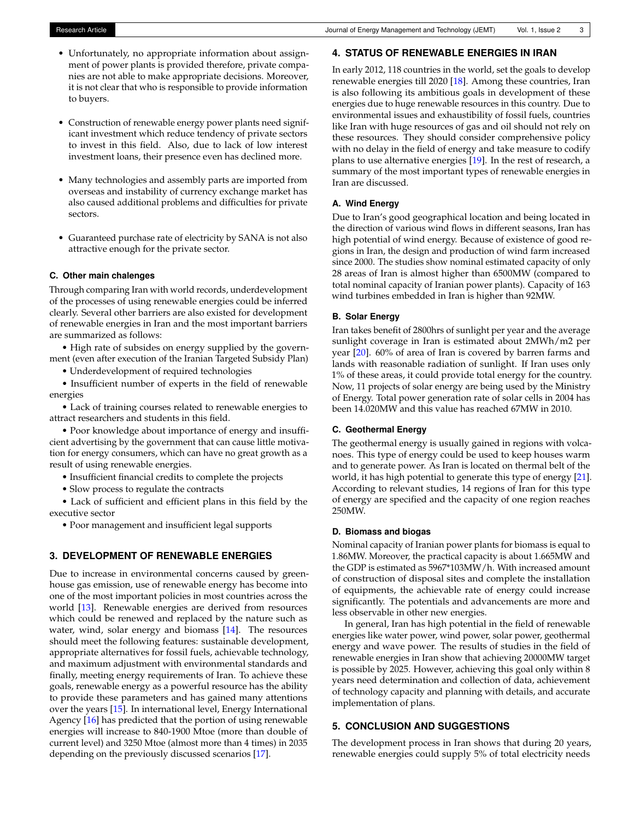- Unfortunately, no appropriate information about assignment of power plants is provided therefore, private companies are not able to make appropriate decisions. Moreover, it is not clear that who is responsible to provide information to buyers.
- Construction of renewable energy power plants need significant investment which reduce tendency of private sectors to invest in this field. Also, due to lack of low interest investment loans, their presence even has declined more.
- Many technologies and assembly parts are imported from overseas and instability of currency exchange market has also caused additional problems and difficulties for private sectors.
- Guaranteed purchase rate of electricity by SANA is not also attractive enough for the private sector.

#### **C. Other main chalenges**

Through comparing Iran with world records, underdevelopment of the processes of using renewable energies could be inferred clearly. Several other barriers are also existed for development of renewable energies in Iran and the most important barriers are summarized as follows:

• High rate of subsides on energy supplied by the government (even after execution of the Iranian Targeted Subsidy Plan)

• Underdevelopment of required technologies

• Insufficient number of experts in the field of renewable energies

• Lack of training courses related to renewable energies to attract researchers and students in this field.

• Poor knowledge about importance of energy and insufficient advertising by the government that can cause little motivation for energy consumers, which can have no great growth as a result of using renewable energies.

- Insufficient financial credits to complete the projects
- Slow process to regulate the contracts

• Lack of sufficient and efficient plans in this field by the executive sector

• Poor management and insufficient legal supports

## **3. DEVELOPMENT OF RENEWABLE ENERGIES**

Due to increase in environmental concerns caused by greenhouse gas emission, use of renewable energy has become into one of the most important policies in most countries across the world [\[13\]](#page-3-11). Renewable energies are derived from resources which could be renewed and replaced by the nature such as water, wind, solar energy and biomass [\[14\]](#page-3-12). The resources should meet the following features: sustainable development, appropriate alternatives for fossil fuels, achievable technology, and maximum adjustment with environmental standards and finally, meeting energy requirements of Iran. To achieve these goals, renewable energy as a powerful resource has the ability to provide these parameters and has gained many attentions over the years [\[15\]](#page-3-13). In international level, Energy International Agency [\[16\]](#page-3-14) has predicted that the portion of using renewable energies will increase to 840-1900 Mtoe (more than double of current level) and 3250 Mtoe (almost more than 4 times) in 2035 depending on the previously discussed scenarios [\[17\]](#page-3-15).

#### **4. STATUS OF RENEWABLE ENERGIES IN IRAN**

In early 2012, 118 countries in the world, set the goals to develop renewable energies till 2020 [\[18\]](#page-3-16). Among these countries, Iran is also following its ambitious goals in development of these energies due to huge renewable resources in this country. Due to environmental issues and exhaustibility of fossil fuels, countries like Iran with huge resources of gas and oil should not rely on these resources. They should consider comprehensive policy with no delay in the field of energy and take measure to codify plans to use alternative energies [\[19\]](#page-3-17). In the rest of research, a summary of the most important types of renewable energies in Iran are discussed.

### **A. Wind Energy**

Due to Iran's good geographical location and being located in the direction of various wind flows in different seasons, Iran has high potential of wind energy. Because of existence of good regions in Iran, the design and production of wind farm increased since 2000. The studies show nominal estimated capacity of only 28 areas of Iran is almost higher than 6500MW (compared to total nominal capacity of Iranian power plants). Capacity of 163 wind turbines embedded in Iran is higher than 92MW.

#### **B. Solar Energy**

Iran takes benefit of 2800hrs of sunlight per year and the average sunlight coverage in Iran is estimated about 2MWh/m2 per year [\[20\]](#page-4-0). 60% of area of Iran is covered by barren farms and lands with reasonable radiation of sunlight. If Iran uses only 1% of these areas, it could provide total energy for the country. Now, 11 projects of solar energy are being used by the Ministry of Energy. Total power generation rate of solar cells in 2004 has been 14.020MW and this value has reached 67MW in 2010.

## **C. Geothermal Energy**

The geothermal energy is usually gained in regions with volcanoes. This type of energy could be used to keep houses warm and to generate power. As Iran is located on thermal belt of the world, it has high potential to generate this type of energy [\[21\]](#page-4-1). According to relevant studies, 14 regions of Iran for this type of energy are specified and the capacity of one region reaches 250MW.

## **D. Biomass and biogas**

Nominal capacity of Iranian power plants for biomass is equal to 1.86MW. Moreover, the practical capacity is about 1.665MW and the GDP is estimated as 5967\*103MW/h. With increased amount of construction of disposal sites and complete the installation of equipments, the achievable rate of energy could increase significantly. The potentials and advancements are more and less observable in other new energies.

In general, Iran has high potential in the field of renewable energies like water power, wind power, solar power, geothermal energy and wave power. The results of studies in the field of renewable energies in Iran show that achieving 20000MW target is possible by 2025. However, achieving this goal only within 8 years need determination and collection of data, achievement of technology capacity and planning with details, and accurate implementation of plans.

## **5. CONCLUSION AND SUGGESTIONS**

The development process in Iran shows that during 20 years, renewable energies could supply 5% of total electricity needs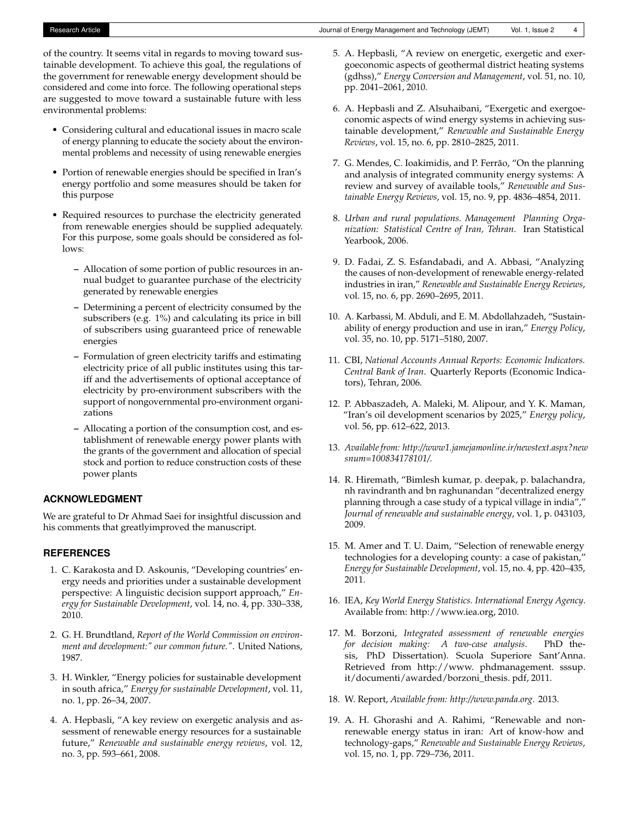of the country. It seems vital in regards to moving toward sustainable development. To achieve this goal, the regulations of the government for renewable energy development should be considered and come into force. The following operational steps are suggested to move toward a sustainable future with less environmental problems:

- Considering cultural and educational issues in macro scale of energy planning to educate the society about the environmental problems and necessity of using renewable energies
- Portion of renewable energies should be specified in Iran's energy portfolio and some measures should be taken for this purpose
- Required resources to purchase the electricity generated from renewable energies should be supplied adequately. For this purpose, some goals should be considered as follows:
	- **–** Allocation of some portion of public resources in annual budget to guarantee purchase of the electricity generated by renewable energies
	- **–** Determining a percent of electricity consumed by the subscribers (e.g. 1%) and calculating its price in bill of subscribers using guaranteed price of renewable energies
	- **–** Formulation of green electricity tariffs and estimating electricity price of all public institutes using this tariff and the advertisements of optional acceptance of electricity by pro-environment subscribers with the support of nongovernmental pro-environment organizations
	- **–** Allocating a portion of the consumption cost, and establishment of renewable energy power plants with the grants of the government and allocation of special stock and portion to reduce construction costs of these power plants

## **ACKNOWLEDGMENT**

We are grateful to Dr Ahmad Saei for insightful discussion and his comments that greatlyimproved the manuscript.

#### **REFERENCES**

- <span id="page-3-0"></span>1. C. Karakosta and D. Askounis, "Developing countries' energy needs and priorities under a sustainable development perspective: A linguistic decision support approach," *Energy for Sustainable Development*, vol. 14, no. 4, pp. 330–338, 2010.
- <span id="page-3-1"></span>2. G. H. Brundtland, *Report of the World Commission on environment and development:" our common future."*. United Nations, 1987.
- <span id="page-3-2"></span>3. H. Winkler, "Energy policies for sustainable development in south africa," *Energy for sustainable Development*, vol. 11, no. 1, pp. 26–34, 2007.
- <span id="page-3-3"></span>4. A. Hepbasli, "A key review on exergetic analysis and assessment of renewable energy resources for a sustainable future," *Renewable and sustainable energy reviews*, vol. 12, no. 3, pp. 593–661, 2008.
- 5. A. Hepbasli, "A review on energetic, exergetic and exergoeconomic aspects of geothermal district heating systems (gdhss)," *Energy Conversion and Management*, vol. 51, no. 10, pp. 2041–2061, 2010.
- <span id="page-3-4"></span>6. A. Hepbasli and Z. Alsuhaibani, "Exergetic and exergoeconomic aspects of wind energy systems in achieving sustainable development," *Renewable and Sustainable Energy Reviews*, vol. 15, no. 6, pp. 2810–2825, 2011.
- <span id="page-3-5"></span>7. G. Mendes, C. Ioakimidis, and P. Ferrão, "On the planning and analysis of integrated community energy systems: A review and survey of available tools," *Renewable and Sustainable Energy Reviews*, vol. 15, no. 9, pp. 4836–4854, 2011.
- <span id="page-3-6"></span>8. *Urban and rural populations. Management Planning Organization: Statistical Centre of Iran, Tehran*. Iran Statistical Yearbook, 2006.
- <span id="page-3-8"></span>9. D. Fadai, Z. S. Esfandabadi, and A. Abbasi, "Analyzing the causes of non-development of renewable energy-related industries in iran," *Renewable and Sustainable Energy Reviews*, vol. 15, no. 6, pp. 2690–2695, 2011.
- <span id="page-3-9"></span>10. A. Karbassi, M. Abduli, and E. M. Abdollahzadeh, "Sustainability of energy production and use in iran," *Energy Policy*, vol. 35, no. 10, pp. 5171–5180, 2007.
- <span id="page-3-10"></span>11. CBI, *National Accounts Annual Reports: Economic Indicators. Central Bank of Iran*. Quarterly Reports (Economic Indicators), Tehran, 2006.
- <span id="page-3-7"></span>12. P. Abbaszadeh, A. Maleki, M. Alipour, and Y. K. Maman, "Iran's oil development scenarios by 2025," *Energy policy*, vol. 56, pp. 612–622, 2013.
- <span id="page-3-11"></span>13. *Available from: http://www1.jamejamonline.ir/newstext.aspx?new snum=100834178101/.*
- <span id="page-3-12"></span>14. R. Hiremath, "Bimlesh kumar, p. deepak, p. balachandra, nh ravindranth and bn raghunandan "decentralized energy planning through a case study of a typical village in india"," *Journal of renewable and sustainable energy*, vol. 1, p. 043103, 2009.
- <span id="page-3-13"></span>15. M. Amer and T. U. Daim, "Selection of renewable energy technologies for a developing county: a case of pakistan," *Energy for Sustainable Development*, vol. 15, no. 4, pp. 420–435, 2011.
- <span id="page-3-14"></span>16. IEA, *Key World Energy Statistics. International Energy Agency*. Available from: http://www.iea.org, 2010.
- <span id="page-3-15"></span>17. M. Borzoni, *Integrated assessment of renewable energies for decision making: A two-case analysis*. PhD thesis, PhD Dissertation). Scuola Superiore Sant'Anna. Retrieved from http://www. phdmanagement. sssup. it/documenti/awarded/borzoni\_thesis. pdf, 2011.
- <span id="page-3-16"></span>18. W. Report, *Available from: http://www.panda.org*. 2013.
- <span id="page-3-17"></span>19. A. H. Ghorashi and A. Rahimi, "Renewable and nonrenewable energy status in iran: Art of know-how and technology-gaps," *Renewable and Sustainable Energy Reviews*, vol. 15, no. 1, pp. 729–736, 2011.